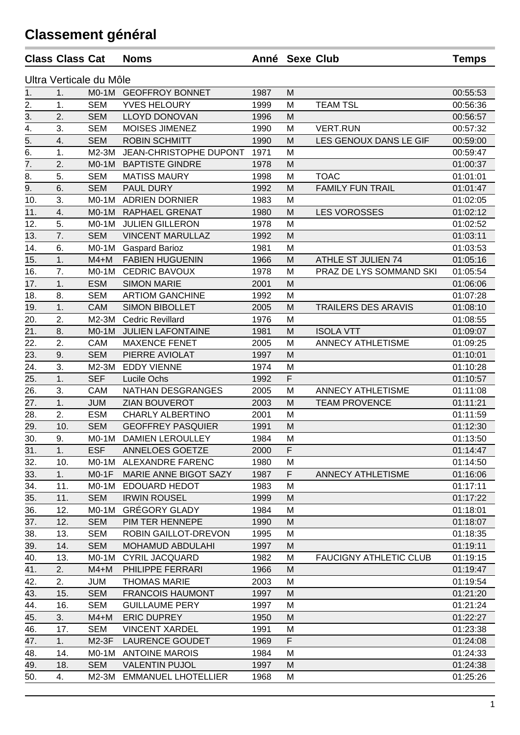## **Classement général**

|                  | <b>Class Class Cat</b> |                         | <b>Noms</b>                | Anné Sexe Club |    |                               | <b>Temps</b> |
|------------------|------------------------|-------------------------|----------------------------|----------------|----|-------------------------------|--------------|
|                  |                        | Ultra Verticale du Môle |                            |                |    |                               |              |
| 1.               | 1.                     |                         | M0-1M GEOFFROY BONNET      | 1987           | M  |                               | 00:55:53     |
| $\overline{2}$ . | 1.                     | <b>SEM</b>              | YVES HELOURY               | 1999           | M  | <b>TEAM TSL</b>               | 00:56:36     |
| 3.               | 2.                     | <b>SEM</b>              | <b>LLOYD DONOVAN</b>       | 1996           | M  |                               | 00:56:57     |
| 4.               | 3.                     | <b>SEM</b>              | MOISES JIMENEZ             | 1990           | M  | <b>VERT.RUN</b>               | 00:57:32     |
| 5.               | 4.                     | <b>SEM</b>              | <b>ROBIN SCHMITT</b>       | 1990           | M  | LES GENOUX DANS LE GIF        | 00:59:00     |
| 6.               | 1.                     | M2-3M                   | JEAN-CHRISTOPHE DUPONT     | 1971           | M  |                               | 00:59:47     |
| 7.               | 2.                     | $MO-1M$                 | <b>BAPTISTE GINDRE</b>     | 1978           | M  |                               | 01:00:37     |
| 8.               | 5.                     | <b>SEM</b>              | <b>MATISS MAURY</b>        | 1998           | M  | <b>TOAC</b>                   | 01:01:01     |
| 9.               | 6.                     | <b>SEM</b>              | PAUL DURY                  | 1992           | M  | <b>FAMILY FUN TRAIL</b>       | 01:01:47     |
| 10.              | 3.                     | $MO-1M$                 | <b>ADRIEN DORNIER</b>      | 1983           | M  |                               | 01:02:05     |
| 11.              | 4.                     | $MO-1M$                 | RAPHAEL GRENAT             | 1980           | M  | <b>LES VOROSSES</b>           | 01:02:12     |
| 12.              | 5.                     | $MO-1M$                 | <b>JULIEN GILLERON</b>     | 1978           | M  |                               | 01:02:52     |
| 13.              | 7.                     | <b>SEM</b>              | <b>VINCENT MARULLAZ</b>    | 1992           | M  |                               | 01:03:11     |
| 14.              | 6.                     | $MO-1M$                 | <b>Gaspard Barioz</b>      | 1981           | M  |                               | 01:03:53     |
| 15.              | 1.                     | $M4+M$                  | <b>FABIEN HUGUENIN</b>     | 1966           | M  | ATHLE ST JULIEN 74            | 01:05:16     |
| 16.              | 7.                     | $MO-1M$                 | <b>CEDRIC BAVOUX</b>       | 1978           | M  | PRAZ DE LYS SOMMAND SKI       | 01:05:54     |
| 17.              | 1.                     | <b>ESM</b>              | <b>SIMON MARIE</b>         | 2001           | M  |                               | 01:06:06     |
| 18.              | 8.                     | <b>SEM</b>              | <b>ARTIOM GANCHINE</b>     | 1992           | M  |                               | 01:07:28     |
| 19.              | 1.                     | <b>CAM</b>              | <b>SIMON BIBOLLET</b>      | 2005           | M  | <b>TRAILERS DES ARAVIS</b>    | 01:08:10     |
| 20.              | 2.                     | M2-3M                   | <b>Cedric Revillard</b>    | 1976           | M  |                               | 01:08:55     |
| 21.              | 8.                     | $MO-1M$                 | <b>JULIEN LAFONTAINE</b>   | 1981           | M  | <b>ISOLA VTT</b>              | 01:09:07     |
| 22.              | 2.                     | CAM                     | <b>MAXENCE FENET</b>       | 2005           | M  | <b>ANNECY ATHLETISME</b>      | 01:09:25     |
| 23.              | 9.                     | <b>SEM</b>              | PIERRE AVIOLAT             | 1997           | M  |                               | 01:10:01     |
| 24.              | 3.                     | M2-3M                   | <b>EDDY VIENNE</b>         | 1974           | M  |                               | 01:10:28     |
| 25.              | 1.                     | <b>SEF</b>              | Lucile Ochs                | 1992           | F  |                               | 01:10:57     |
| 26.              | 3.                     | CAM                     | NATHAN DESGRANGES          | 2005           | M  | <b>ANNECY ATHLETISME</b>      | 01:11:08     |
| 27.              | 1.                     | <b>JUM</b>              | ZIAN BOUVEROT              | 2003           | M  | <b>TEAM PROVENCE</b>          | 01:11:21     |
| 28.              | 2.                     | <b>ESM</b>              | CHARLY ALBERTINO           | 2001           | M  |                               | 01:11:59     |
| 29.              | 10.                    | <b>SEM</b>              | <b>GEOFFREY PASQUIER</b>   | 1991           | M  |                               | 01:12:30     |
| 30.              | 9.                     | $MO-1M$                 | <b>DAMIEN LEROULLEY</b>    | 1984           | M  |                               | 01:13:50     |
|                  |                        |                         |                            |                |    |                               |              |
| 31.              | 1.                     | <b>ESF</b>              | ANNELOES GOETZE            | 2000           | F. |                               | 01:14:47     |
| 32.              | 10.                    | $MO-1M$                 | ALEXANDRE FARENC           | 1980           | M  |                               | 01:14:50     |
| 33.              | 1.                     | $MO-1F$                 | MARIE ANNE BIGOT SAZY      | 1987           | F  | <b>ANNECY ATHLETISME</b>      | 01:16:06     |
| 34.              | 11.                    | $MO-1M$                 | EDOUARD HEDOT              | 1983           | M  |                               | 01:17:11     |
| 35.              | 11.                    | <b>SEM</b>              | <b>IRWIN ROUSEL</b>        | 1999           | M  |                               | 01:17:22     |
| 36.              | 12.                    | $MO-1M$                 | <b>GRÉGORY GLADY</b>       | 1984           | M  |                               | 01:18:01     |
| 37.              | 12.                    | <b>SEM</b>              | PIM TER HENNEPE            | 1990           | M  |                               | 01:18:07     |
| 38.              | 13.                    | <b>SEM</b>              | ROBIN GAILLOT-DREVON       | 1995           | M  |                               | 01:18:35     |
| 39.              | 14.                    | <b>SEM</b>              | <b>MOHAMUD ABDULAHI</b>    | 1997           | M  |                               | 01:19:11     |
| 40.              | 13.                    | $MO-1M$                 | <b>CYRIL JACQUARD</b>      | 1982           | M  | <b>FAUCIGNY ATHLETIC CLUB</b> | 01:19:15     |
| 41.              | 2.                     | $M4+M$                  | PHILIPPE FERRARI           | 1966           | M  |                               | 01:19:47     |
| 42.              | 2.                     | <b>JUM</b>              | <b>THOMAS MARIE</b>        | 2003           | M  |                               | 01:19:54     |
| 43.              | 15.                    | <b>SEM</b>              | <b>FRANCOIS HAUMONT</b>    | 1997           | M  |                               | 01:21:20     |
| 44.              | 16.                    | <b>SEM</b>              | <b>GUILLAUME PERY</b>      | 1997           | M  |                               | 01:21:24     |
| 45.              | 3.                     | $M4+M$                  | <b>ERIC DUPREY</b>         | 1950           | M  |                               | 01:22:27     |
| 46.              | 17.                    | <b>SEM</b>              | <b>VINCENT XARDEL</b>      | 1991           | M  |                               | 01:23:38     |
| 47.              | 1.                     | M2-3F                   | <b>LAURENCE GOUDET</b>     | 1969           | F  |                               | 01:24:08     |
| 48.              | 14.                    |                         | M0-1M ANTOINE MAROIS       | 1984           | M  |                               | 01:24:33     |
| 49.              | 18.                    | <b>SEM</b>              | <b>VALENTIN PUJOL</b>      | 1997           | M  |                               | 01:24:38     |
| 50.              | 4.                     | M2-3M                   | <b>EMMANUEL LHOTELLIER</b> | 1968           | M  |                               | 01:25:26     |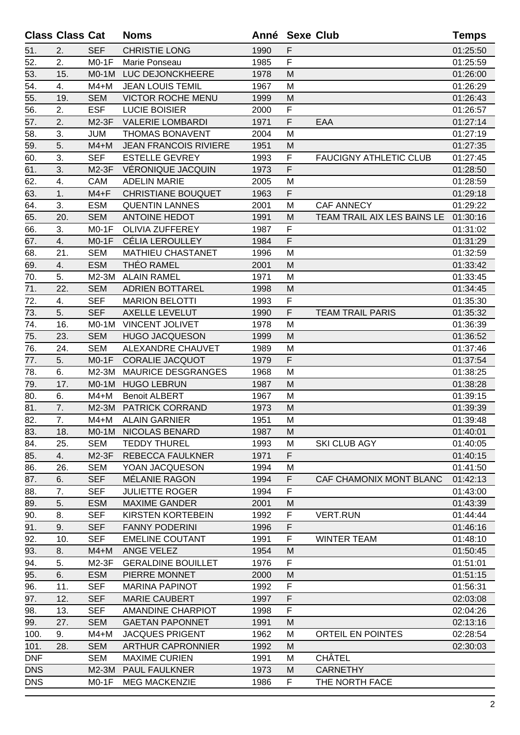|            | <b>Class Class Cat</b> |            | <b>Noms</b>                  | Anné Sexe Club |    |                               | <b>Temps</b> |
|------------|------------------------|------------|------------------------------|----------------|----|-------------------------------|--------------|
| 51.        | 2.                     | <b>SEF</b> | <b>CHRISTIE LONG</b>         | 1990           | F  |                               | 01:25:50     |
| 52.        | 2.                     | $MO-1F$    | Marie Ponseau                | 1985           | F  |                               | 01:25:59     |
| 53.        | 15.                    | $MO-1M$    | LUC DEJONCKHEERE             | 1978           | M  |                               | 01:26:00     |
| 54.        | 4.                     | $M4+M$     | <b>JEAN LOUIS TEMIL</b>      | 1967           | M  |                               | 01:26:29     |
| 55.        | 19.                    | <b>SEM</b> | <b>VICTOR ROCHE MENU</b>     | 1999           | M  |                               | 01:26:43     |
| 56.        | 2.                     | <b>ESF</b> | <b>LUCIE BOISIER</b>         | 2000           | F  |                               | 01:26:57     |
| 57.        | 2.                     | $M2-3F$    | <b>VALERIE LOMBARDI</b>      | 1971           | F  | EAA                           | 01:27:14     |
| 58.        | 3.                     | <b>JUM</b> | <b>THOMAS BONAVENT</b>       | 2004           | M  |                               | 01:27:19     |
| 59.        | 5.                     | $M4+M$     | <b>JEAN FRANCOIS RIVIERE</b> | 1951           | M  |                               | 01:27:35     |
| 60.        | 3.                     | <b>SEF</b> | <b>ESTELLE GEVREY</b>        | 1993           | F  | <b>FAUCIGNY ATHLETIC CLUB</b> | 01:27:45     |
| 61.        | 3.                     | M2-3F      | VÉRONIQUE JACQUIN            | 1973           | F  |                               | 01:28:50     |
| 62.        | 4.                     | <b>CAM</b> | <b>ADELIN MARIE</b>          | 2005           | M  |                               | 01:28:59     |
| 63.        | 1.                     | $M4 + F$   | <b>CHRISTIANE BOUQUET</b>    | 1963           | F  |                               | 01:29:18     |
| 64.        | 3.                     | <b>ESM</b> | <b>QUENTIN LANNES</b>        | 2001           | M  | CAF ANNECY                    | 01:29:22     |
| 65.        | 20.                    | <b>SEM</b> | <b>ANTOINE HEDOT</b>         | 1991           | M  | TEAM TRAIL AIX LES BAINS LE   | 01:30:16     |
| 66.        | 3.                     | $MO-1F$    | OLIVIA ZUFFEREY              | 1987           | F  |                               | 01:31:02     |
| 67.        | 4.                     | $MO-1F$    | <b>CÉLIA LEROULLEY</b>       | 1984           | F  |                               | 01:31:29     |
| 68.        | 21.                    | <b>SEM</b> | <b>MATHIEU CHASTANET</b>     | 1996           | M  |                               | 01:32:59     |
| 69.        | 4.                     | <b>ESM</b> | <b>THÉO RAMEL</b>            | 2001           | M  |                               | 01:33:42     |
| 70.        | 5.                     | M2-3M      | <b>ALAIN RAMEL</b>           | 1971           | M  |                               | 01:33:45     |
| 71.        | 22.                    | <b>SEM</b> | <b>ADRIEN BOTTAREL</b>       | 1998           | M  |                               | 01:34:45     |
| 72.        | 4.                     | <b>SEF</b> | <b>MARION BELOTTI</b>        | 1993           | F  |                               | 01:35:30     |
| 73.        | 5.                     | <b>SEF</b> | <b>AXELLE LEVELUT</b>        | 1990           | F  | <b>TEAM TRAIL PARIS</b>       | 01:35:32     |
| 74.        | 16.                    | $MO-1M$    | <b>VINCENT JOLIVET</b>       | 1978           | М  |                               | 01:36:39     |
| 75.        | 23.                    | <b>SEM</b> | <b>HUGO JACQUESON</b>        | 1999           | M  |                               | 01:36:52     |
| 76.        | 24.                    | <b>SEM</b> | ALEXANDRE CHAUVET            | 1989           | M  |                               | 01:37:46     |
| 77.        | 5.                     | $MO-1F$    | <b>CORALIE JACQUOT</b>       | 1979           | F  |                               | 01:37:54     |
| 78.        | 6.                     | M2-3M      | <b>MAURICE DESGRANGES</b>    | 1968           | M  |                               | 01:38:25     |
| 79.        | 17.                    | $MO-1M$    | <b>HUGO LEBRUN</b>           | 1987           | M  |                               | 01:38:28     |
| 80.        | 6.                     | $M4+M$     | <b>Benoit ALBERT</b>         | 1967           | M  |                               | 01:39:15     |
| 81.        | 7.                     | $M2-3M$    | <b>PATRICK CORRAND</b>       | 1973           | M  |                               | 01:39:39     |
| 82.        | 7.                     | M4+M       | <b>ALAIN GARNIER</b>         | 1951           | M  |                               | 01:39:48     |
| 83.        | 18.                    | $MO-1M$    | NICOLAS BENARD               | 1987           | M  |                               | 01:40:01     |
| 84.        | 25.                    | <b>SEM</b> | <b>TEDDY THUREL</b>          | 1993           | M  | <b>SKI CLUB AGY</b>           | 01:40:05     |
| 85.        | 4.                     | M2-3F      | REBECCA FAULKNER             | 1971           | F  |                               | 01:40:15     |
| 86.        | 26.                    | <b>SEM</b> | YOAN JACQUESON               | 1994           | M  |                               | 01:41:50     |
| 87.        | 6.                     | <b>SEF</b> | MÉLANIE RAGON                | 1994           | F  | CAF CHAMONIX MONT BLANC       | 01:42:13     |
| 88.        | 7.                     | <b>SEF</b> | <b>JULIETTE ROGER</b>        | 1994           | F  |                               | 01:43:00     |
| 89.        | 5.                     | <b>ESM</b> | <b>MAXIME GANDER</b>         | 2001           | M  |                               | 01:43:39     |
| 90.        | 8.                     | <b>SEF</b> | <b>KIRSTEN KORTEBEIN</b>     | 1992           | F  | <b>VERT.RUN</b>               | 01:44:44     |
| 91.        | 9.                     | <b>SEF</b> | <b>FANNY PODERINI</b>        | 1996           | F  |                               | 01:46:16     |
| 92.        | 10.                    | <b>SEF</b> | <b>EMELINE COUTANT</b>       | 1991           | F  | <b>WINTER TEAM</b>            | 01:48:10     |
| 93.        | 8.                     | $M4+M$     | ANGE VELEZ                   | 1954           | M  |                               | 01:50:45     |
| 94.        | 5.                     | M2-3F      | <b>GERALDINE BOUILLET</b>    | 1976           | F  |                               | 01:51:01     |
| 95.        | 6.                     | <b>ESM</b> | PIERRE MONNET                | 2000           | M  |                               | 01:51:15     |
| 96.        | 11.                    | <b>SEF</b> | <b>MARINA PAPINOT</b>        | 1992           | F  |                               | 01:56:31     |
| 97.        | 12.                    | <b>SEF</b> | <b>MARIE CAUBERT</b>         | 1997           | F  |                               | 02:03:08     |
| 98.        | 13.                    | <b>SEF</b> | <b>AMANDINE CHARPIOT</b>     | 1998           | F  |                               | 02:04:26     |
| 99.        | 27.                    | <b>SEM</b> | <b>GAETAN PAPONNET</b>       | 1991           | M  |                               | 02:13:16     |
| 100.       | 9.                     | $M4+M$     | <b>JACQUES PRIGENT</b>       | 1962           | M  | ORTEIL EN POINTES             | 02:28:54     |
| 101.       | 28.                    | <b>SEM</b> | <b>ARTHUR CAPRONNIER</b>     | 1992           | M  |                               | 02:30:03     |
| <b>DNF</b> |                        | <b>SEM</b> | <b>MAXIME CURIEN</b>         | 1991           | M  | <b>CHÂTEL</b>                 |              |
| <b>DNS</b> |                        | $M2-3M$    | <b>PAUL FAULKNER</b>         | 1973           | M  | <b>CARNETHY</b>               |              |
| <b>DNS</b> |                        | $MO-1F$    | <b>MEG MACKENZIE</b>         | 1986           | F. | THE NORTH FACE                |              |
|            |                        |            |                              |                |    |                               |              |